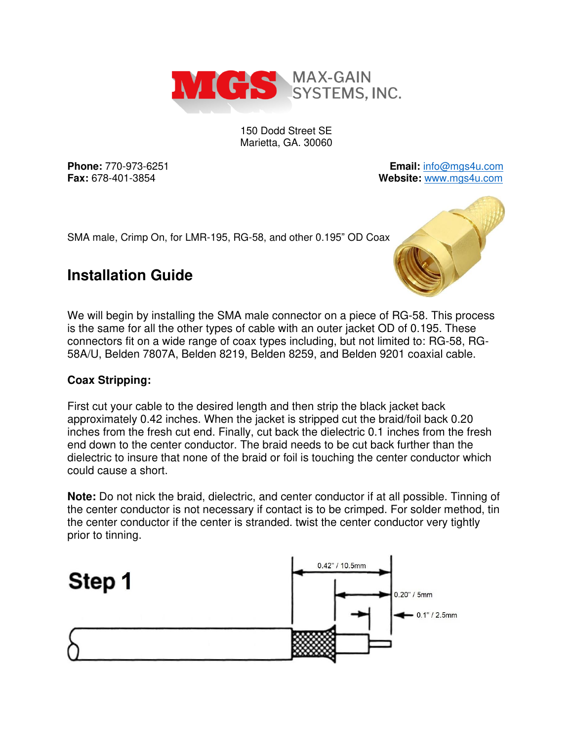

150 Dodd Street SE Marietta, GA. 30060

**Phone:** 770-973-6251 **Email:** [info@mgs4u.com](mailto:info@mgs4u.com) **Fax:** 678-401-3854 **Website:** [www.mgs4u.com](http://www.mgs4u.com/)

SMA male, Crimp On, for LMR-195, RG-58, and other 0.195" OD Coax



# **Installation Guide**

We will begin by installing the SMA male connector on a piece of RG-58. This process is the same for all the other types of cable with an outer jacket OD of 0.195. These connectors fit on a wide range of coax types including, but not limited to: RG-58, RG-58A/U, Belden 7807A, Belden 8219, Belden 8259, and Belden 9201 coaxial cable.

## **Coax Stripping:**

First cut your cable to the desired length and then strip the black jacket back approximately 0.42 inches. When the jacket is stripped cut the braid/foil back 0.20 inches from the fresh cut end. Finally, cut back the dielectric 0.1 inches from the fresh end down to the center conductor. The braid needs to be cut back further than the dielectric to insure that none of the braid or foil is touching the center conductor which could cause a short.

**Note:** Do not nick the braid, dielectric, and center conductor if at all possible. Tinning of the center conductor is not necessary if contact is to be crimped. For solder method, tin the center conductor if the center is stranded. twist the center conductor very tightly prior to tinning.

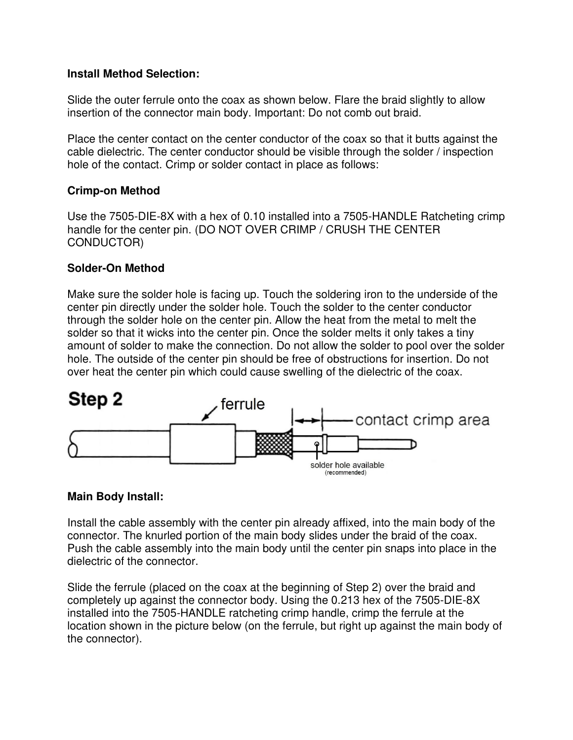#### **Install Method Selection:**

Slide the outer ferrule onto the coax as shown below. Flare the braid slightly to allow insertion of the connector main body. Important: Do not comb out braid.

Place the center contact on the center conductor of the coax so that it butts against the cable dielectric. The center conductor should be visible through the solder / inspection hole of the contact. Crimp or solder contact in place as follows:

#### **Crimp-on Method**

Use the 7505-DIE-8X with a hex of 0.10 installed into a 7505-HANDLE Ratcheting crimp handle for the center pin. (DO NOT OVER CRIMP / CRUSH THE CENTER CONDUCTOR)

#### **Solder-On Method**

Make sure the solder hole is facing up. Touch the soldering iron to the underside of the center pin directly under the solder hole. Touch the solder to the center conductor through the solder hole on the center pin. Allow the heat from the metal to melt the solder so that it wicks into the center pin. Once the solder melts it only takes a tiny amount of solder to make the connection. Do not allow the solder to pool over the solder hole. The outside of the center pin should be free of obstructions for insertion. Do not over heat the center pin which could cause swelling of the dielectric of the coax.



#### **Main Body Install:**

Install the cable assembly with the center pin already affixed, into the main body of the connector. The knurled portion of the main body slides under the braid of the coax. Push the cable assembly into the main body until the center pin snaps into place in the dielectric of the connector.

Slide the ferrule (placed on the coax at the beginning of Step 2) over the braid and completely up against the connector body. Using the 0.213 hex of the 7505-DIE-8X installed into the 7505-HANDLE ratcheting crimp handle, crimp the ferrule at the location shown in the picture below (on the ferrule, but right up against the main body of the connector).